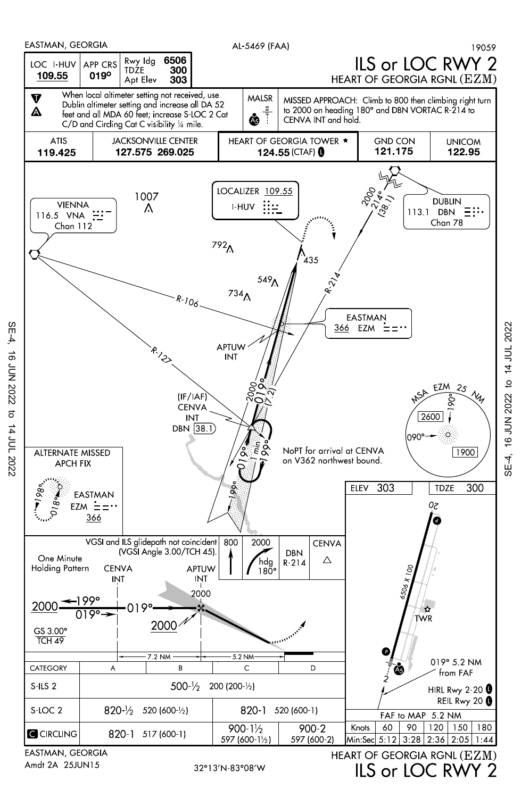

SE-4, 16 JUN 2022 to 14 JUL 2022 SE-4, 16 JUN 2022 to 14 JUL 2022

SE-4, 16 JUN 2022 to 14 JUL 2022

 $\sigma$ 

14 JUL 2022

16 JUN 2022

 $SE-4$ 

32°13'N-83°08'W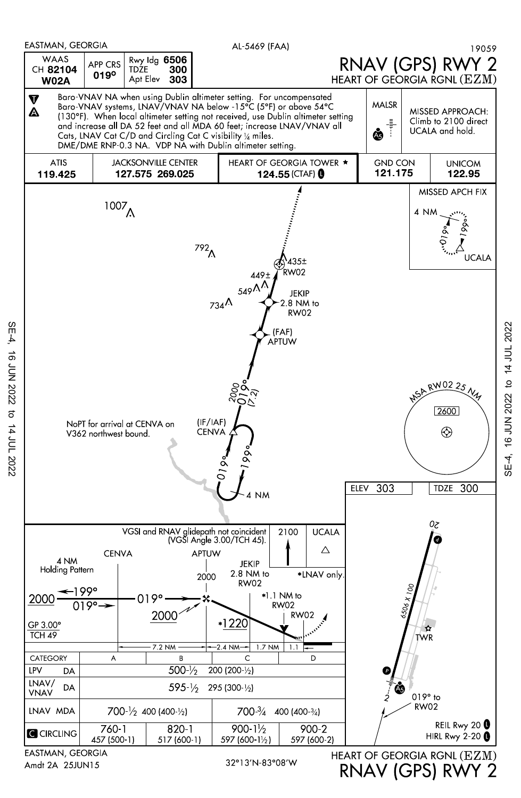

SE-4, 16 JUN 2022 to 14 JUL 2022

 $\vec{\sigma}$ 

14 JUL 2022

16 JUN 2022

 $SE-4$ 

RNAV (GPS) RWY 2

SE-4, 16 JUN 2022 to 14 JUL 2022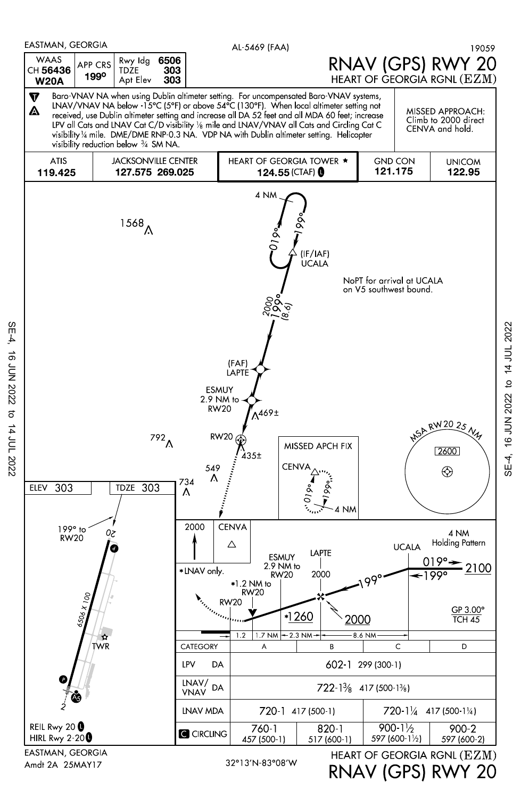

Amdt 2A 25MAY17

SE-4, 16 JUN 2022 to 14 JUL 2022

 $\vec{\sigma}$ 

14 JUL 2022

**16 JUN 2022** 

 $SE-4$ 

RNAV (GPS) RWY 20